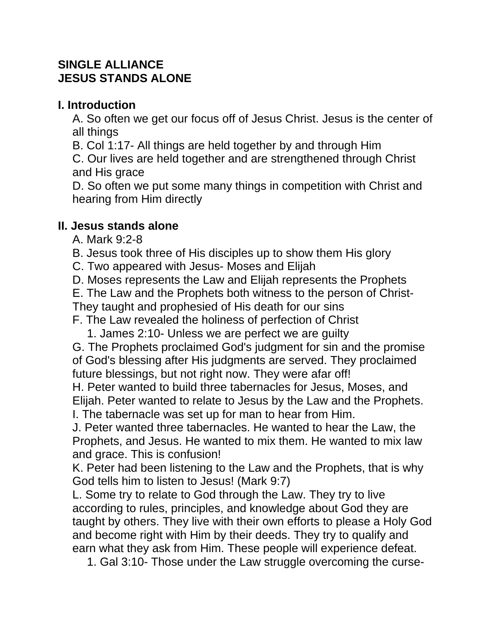## **SINGLE ALLIANCE JESUS STANDS ALONE**

## **I. Introduction**

A. So often we get our focus off of Jesus Christ. Jesus is the center of all things

B. Col 1:17- All things are held together by and through Him

C. Our lives are held together and are strengthened through Christ and His grace

D. So often we put some many things in competition with Christ and hearing from Him directly

## **II. Jesus stands alone**

- A. Mark 9:2-8
- B. Jesus took three of His disciples up to show them His glory
- C. Two appeared with Jesus- Moses and Elijah
- D. Moses represents the Law and Elijah represents the Prophets
- E. The Law and the Prophets both witness to the person of Christ-
- They taught and prophesied of His death for our sins

F. The Law revealed the holiness of perfection of Christ

1. James 2:10- Unless we are perfect we are guilty

G. The Prophets proclaimed God's judgment for sin and the promise of God's blessing after His judgments are served. They proclaimed future blessings, but not right now. They were afar off!

H. Peter wanted to build three tabernacles for Jesus, Moses, and Elijah. Peter wanted to relate to Jesus by the Law and the Prophets. I. The tabernacle was set up for man to hear from Him.

J. Peter wanted three tabernacles. He wanted to hear the Law, the Prophets, and Jesus. He wanted to mix them. He wanted to mix law and grace. This is confusion!

K. Peter had been listening to the Law and the Prophets, that is why God tells him to listen to Jesus! (Mark 9:7)

L. Some try to relate to God through the Law. They try to live according to rules, principles, and knowledge about God they are taught by others. They live with their own efforts to please a Holy God and become right with Him by their deeds. They try to qualify and earn what they ask from Him. These people will experience defeat.

1. Gal 3:10- Those under the Law struggle overcoming the curse-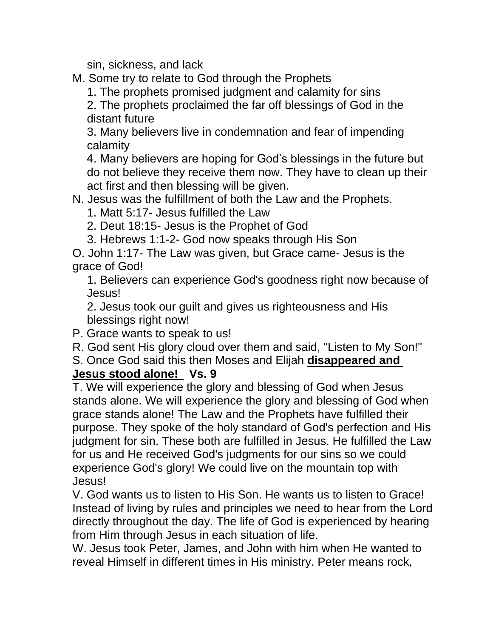sin, sickness, and lack

M. Some try to relate to God through the Prophets

1. The prophets promised judgment and calamity for sins

2. The prophets proclaimed the far off blessings of God in the distant future

3. Many believers live in condemnation and fear of impending calamity

4. Many believers are hoping for God's blessings in the future but do not believe they receive them now. They have to clean up their act first and then blessing will be given.

N. Jesus was the fulfillment of both the Law and the Prophets.

1. Matt 5:17- Jesus fulfilled the Law

2. Deut 18:15- Jesus is the Prophet of God

3. Hebrews 1:1-2- God now speaks through His Son

O. John 1:17- The Law was given, but Grace came- Jesus is the grace of God!

1. Believers can experience God's goodness right now because of Jesus!

2. Jesus took our guilt and gives us righteousness and His blessings right now!

P. Grace wants to speak to us!

R. God sent His glory cloud over them and said, "Listen to My Son!"

S. Once God said this then Moses and Elijah **disappeared and Jesus stood alone! Vs. 9**

T. We will experience the glory and blessing of God when Jesus stands alone. We will experience the glory and blessing of God when grace stands alone! The Law and the Prophets have fulfilled their purpose. They spoke of the holy standard of God's perfection and His judgment for sin. These both are fulfilled in Jesus. He fulfilled the Law for us and He received God's judgments for our sins so we could experience God's glory! We could live on the mountain top with Jesus!

V. God wants us to listen to His Son. He wants us to listen to Grace! Instead of living by rules and principles we need to hear from the Lord directly throughout the day. The life of God is experienced by hearing from Him through Jesus in each situation of life.

W. Jesus took Peter, James, and John with him when He wanted to reveal Himself in different times in His ministry. Peter means rock,